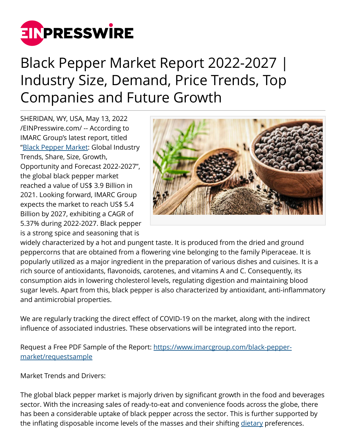

## Black Pepper Market Report 2022-2027 | Industry Size, Demand, Price Trends, Top Companies and Future Growth

SHERIDAN, WY, USA, May 13, 2022 [/EINPresswire.com/](http://www.einpresswire.com) -- According to IMARC Group's latest report, titled ["Black Pepper Market:](https://www.imarcgroup.com/black-pepper-market) Global Industry Trends, Share, Size, Growth, Opportunity and Forecast 2022-2027", the global black pepper market reached a value of US\$ 3.9 Billion in 2021. Looking forward, IMARC Group expects the market to reach US\$ 5.4 Billion by 2027, exhibiting a CAGR of 5.37% during 2022-2027. Black pepper is a strong spice and seasoning that is



widely characterized by a hot and pungent taste. It is produced from the dried and ground peppercorns that are obtained from a flowering vine belonging to the family Piperaceae. It is popularly utilized as a major ingredient in the preparation of various dishes and cuisines. It is a rich source of antioxidants, flavonoids, carotenes, and vitamins A and C. Consequently, its consumption aids in lowering cholesterol levels, regulating digestion and maintaining blood sugar levels. Apart from this, black pepper is also characterized by antioxidant, anti-inflammatory and antimicrobial properties.

We are regularly tracking the direct effect of COVID-19 on the market, along with the indirect influence of associated industries. These observations will be integrated into the report.

Request a Free PDF Sample of the Report: [https://www.imarcgroup.com/black-pepper](https://www.imarcgroup.com/black-pepper-market/requestsample)[market/requestsample](https://www.imarcgroup.com/black-pepper-market/requestsample)

Market Trends and Drivers:

The global black pepper market is majorly driven by significant growth in the food and beverages sector. With the increasing sales of ready-to-eat and convenience foods across the globe, there has been a considerable uptake of black pepper across the sector. This is further supported by the inflating disposable income levels of the masses and their shifting [dietary](https://www.imarcgroup.com/india-dietary-supplements-market) preferences.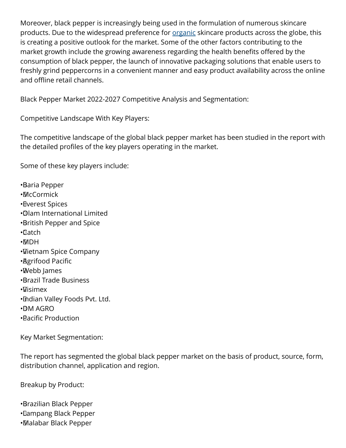Moreover, black pepper is increasingly being used in the formulation of numerous skincare products. Due to the widespread preference for <u>organic</u> skincare products across the globe, this is creating a positive outlook for the market. Some of the other factors contributing to the market growth include the growing awareness regarding the health benefits offered by the consumption of black pepper, the launch of innovative packaging solutions that enable users to freshly grind peppercorns in a convenient manner and easy product availability across the online and offline retail channels.

Black Pepper Market 2022-2027 Competitive Analysis and Segmentation:

Competitive Landscape With Key Players:

The competitive landscape of the global black pepper market has been studied in the report with the detailed profiles of the key players operating in the market.

Some of these key players include:

• Baria Pepper • McCormick • Everest Spices • Olam International Limited • British Pepper and Spice • Catch • MDH • Vietnam Spice Company • Agrifood Pacific • Webb James • Brazil Trade Business • Visimex • Indian Valley Foods Pvt. Ltd. • DM AGRO • Pacific Production

Key Market Segmentation:

The report has segmented the global black pepper market on the basis of product, source, form, distribution channel, application and region.

Breakup by Product:

• Brazilian Black Pepper

• Lampang Black Pepper

• Malabar Black Pepper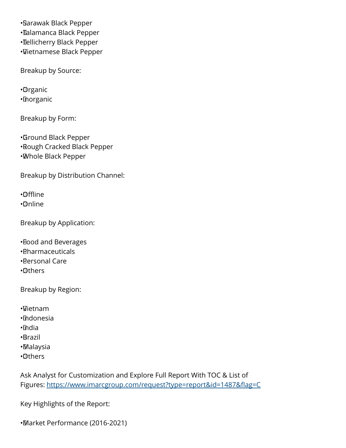• Sarawak Black Pepper • Talamanca Black Pepper • Tellicherry Black Pepper • Vietnamese Black Pepper

Breakup by Source:

• Organic • Inorganic

Breakup by Form:

• Ground Black Pepper • Rough Cracked Black Pepper • Whole Black Pepper

Breakup by Distribution Channel:

• Offline

• Online

Breakup by Application:

• Food and Beverages

- • Pharmaceuticals
- • Personal Care
- • Others

Breakup by Region:

• Vietnam

- • Indonesia
- • India
- • Brazil
- • Malaysia
- • Others

Ask Analyst for Customization and Explore Full Report With TOC & List of Figures: <https://www.imarcgroup.com/request?type=report&id=1487&flag=C>

Key Highlights of the Report:

• Market Performance (2016-2021)